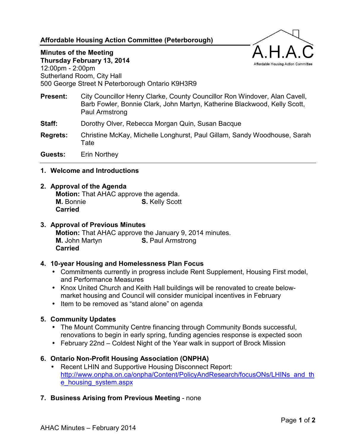# **Affordable Housing Action Committee (Peterborough)**

# **Minutes of the Meeting**

**Thursday February 13, 2014**  12:00pm - 2:00pm Sutherland Room, City Hall 500 George Street N Peterborough Ontario K9H3R9

- **Present:** City Councillor Henry Clarke, County Councillor Ron Windover, Alan Cavell, Barb Fowler, Bonnie Clark, John Martyn, Katherine Blackwood, Kelly Scott, Paul Armstrong
- **Staff:** Dorothy Olver, Rebecca Morgan Quin, Susan Bacque
- **Regrets:** Christine McKay, Michelle Longhurst, Paul Gillam, Sandy Woodhouse, Sarah Tate

**Guests:** Erin Northey

#### **1. Welcome and Introductions**

#### **2. Approval of the Agenda**

**Motion:** That AHAC approve the agenda. **M.** Bonnie **S. Kelly Scott Carried**

## **3. Approval of Previous Minutes**

**Motion:** That AHAC approve the January 9, 2014 minutes. **M.** John Martyn **S. Paul Armstrong Carried**

#### **4. 10-year Housing and Homelessness Plan Focus**

- Commitments currently in progress include Rent Supplement, Housing First model, and Performance Measures
- Knox United Church and Keith Hall buildings will be renovated to create belowmarket housing and Council will consider municipal incentives in February
- Item to be removed as "stand alone" on agenda

#### **5. Community Updates**

- The Mount Community Centre financing through Community Bonds successful, renovations to begin in early spring, funding agencies response is expected soon
- February 22nd Coldest Night of the Year walk in support of Brock Mission

#### **6. Ontario Non-Profit Housing Association (ONPHA)**

- Recent LHIN and Supportive Housing Disconnect Report: [http://www.onpha.on.ca/onpha/Content/PolicyAndResearch/focusONs/LHINs\\_and\\_th](http://www.onpha.on.ca/onpha/Content/PolicyAndResearch/focusONs/LHINs_and_the_housing_system.aspx) [e\\_housing\\_system.aspx](http://www.onpha.on.ca/onpha/Content/PolicyAndResearch/focusONs/LHINs_and_the_housing_system.aspx)
- **7. Business Arising from Previous Meeting** none